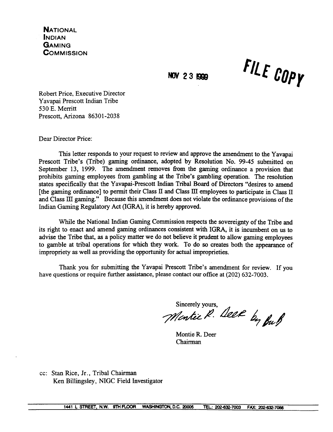**NATIONAL INDIAN GAMING COMMISSION** 

NOV 23 1999

FILE COPY

Robert Price, Executive Director Yavapai Prescott Indian Tribe 530 E. Merritt Prescott. Arizona 86301-2038

Dear Director Price:

This letter responds to your request to review and approve the amendment to the Yavapai Prescott Tribe's (Tribe) gaming ordinance, adopted by Resolution No. 99-45 submitted on September 13, 1999. The amendment removes from the gaming ordinance a provision that prohibits gaming employees from gambling at the Tribe's gambling operation. The resolution states specifically that the Yavapai-Prescott Indian Tribal Board of Directors "desires to amend [the gaming ordinance] to permit their Class II and Class III employees to participate in Class II and Class III gaming." Because this amendment does not violate the ordinance provisions of the Indian Gaming Regulatory Act (IGRA), it is hereby approved.

While the National Indian Gaming Commission respects the sovereignty of the Tribe and its right to enact and amend gaming ordinances consistent with IGRA, it is incumbent on us to advise the Tribe that, as a policy matter we do not believe it prudent to allow gaming employees to gamble at tribal operations for which they work. To do so creates both the appearance of impropriety as well as providing the opportunity for actual improprieties.

Thank you for submitting the Yavapai Prescott Tribe's amendment for review. If you have questions or require further assistance, please contact our office at (202) 632-7003.

Sincerely yours.

SIRCICITY JULIS, Deep by But

Montie R. Deer Chairman

cc: Stan Rice, Jr., Tribal Chairman Ken Billingsley, NIGC Field Investigator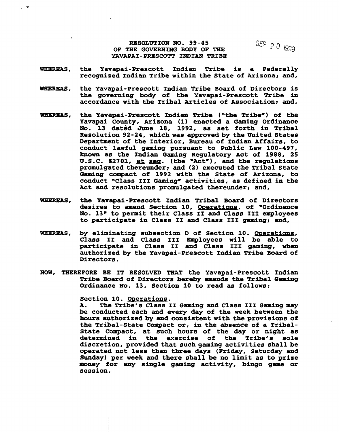**RESOLUTION NO. 99-45 SEP 20** 1999 **OF THE GOVERNING BODY OF TEE - (999 YAVAPAI-PRESCOTT INDIAN TRIBE**

- **WHEREAS, the Yavapai-Prescott Indian Tribe is a Federally recognized Indian Tribe within the State of Arizona; and,**
- **WHEREAS, the Yavapai-Prescott Indian Tribe Board of Directors is the governing body of the Yavapai-Prescott Tribe in accordance with the Tribal Articles of Association; and,**
- **WHEREAS, the Yavapai-Prescott Indian Tribe (the Tribe) of the Yavapai County, Arizona (1) enacted a Gaming Ordinance No. 13 dat~d June 18, 1992, as set forth in Tribal Resolution 92-24, which was approved by the United States Department of the Interior, Bureau of Indian Affairs, to conduct lawful gaming pursuant to Public Law 100-497, known as the Indian Gaming Regulatory Act of 1988, 25 U.S.C. §2701, ~ ~q. (the Act), and the regulations promulgated thereunder; and (2) executed the Tribal State Gaming compact of 1992 with the State of Arizona, to conduct Class III Gaming activities, as defined in the Act and resolutions promulgated thereunder; and,**
- **WHEREAS, the Yavapai-Prescott Indian Tribal Board of Directors desires to amend Section 10, Operations of Ordinance No. 13 to permit their Class II and Class III employees to participate in Class II and Class III gaming; and,**
- **WHEREAS, by eliminating subsection D of Section 10. Operations Class II and Class III Employees will be able to participate in Class II and Class III gaming, when authorized by the Yavapai-Prescott Indian Tribe Board of Directors.**
- **NOW, THEREFORE BE IT RESOLVED THAT the Yavapai-Prescott Indian Tribe Board of Directors hereby amends the Tribal Gaming Ordinance No. 13, Section 10 to read as follows:**

**Section 10. Operations**

**A. The Tribes Class II Gaming and Class III Gaming may be conducted each and every day of the week between the hours authorized by and consistent with the provisions of the Tribal-State Compact or, in the absence of a Tribal-State Compact, at such hours of the day or night as determined** in the exercise of the Tribe's sole **discretion, provided that such gaming activities shall be operated not less than three days (Friday, Saturday and Sunday) per week and there shall be no limit as to prize money for any single gaming activity, bingo game or session.**